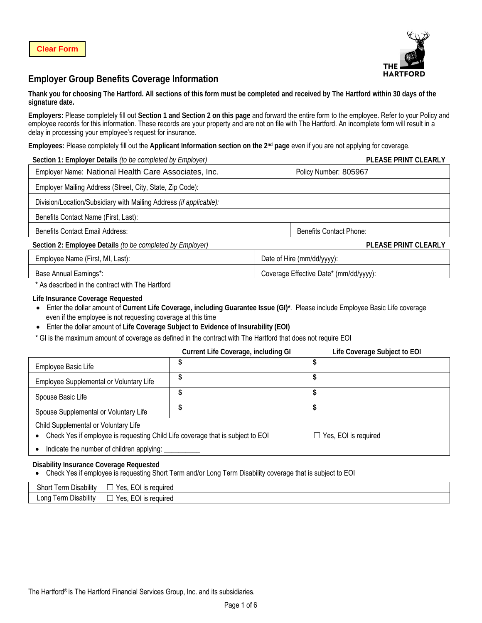

# **Employer Group Benefits Coverage Information**

**Thank you for choosing The Hartford. All sections of this form must be completed and received by The Hartford within 30 days of the signature date.**

**Employers:** Please completely fill out **Section 1 and Section 2 on this page** and forward the entire form to the employee. Refer to your Policy and employee records for this information. These records are your property and are not on file with The Hartford. An incomplete form will result in a delay in processing your employee's request for insurance.

**Employees:** Please completely fill out the **Applicant Information section on the 2nd page** even if you are not applying for coverage.

| Section 1: Employer Details (to be completed by Employer)          | PLEASE PRINT CLEARLY                   |
|--------------------------------------------------------------------|----------------------------------------|
| Employer Name: National Health Care Associates, Inc.               | Policy Number: 805967                  |
| Employer Mailing Address (Street, City, State, Zip Code):          |                                        |
| Division/Location/Subsidiary with Mailing Address (if applicable): |                                        |
| Benefits Contact Name (First, Last):                               |                                        |
| Benefits Contact Email Address:                                    | Benefits Contact Phone:                |
| Section 2: Employee Details (to be completed by Employer)          | <b>PLEASE PRINT CLEARLY</b>            |
| Employee Name (First, MI, Last):                                   | Date of Hire (mm/dd/yyyy):             |
| Base Annual Earnings*:                                             | Coverage Effective Date* (mm/dd/yyyy): |

\* As described in the contract with The Hartford

#### **Life Insurance Coverage Requested**

- Enter the dollar amount of **Current Life Coverage, including Guarantee Issue (GI)\***. Please include Employee Basic Life coverage even if the employee is not requesting coverage at this time
- Enter the dollar amount of **Life Coverage Subject to Evidence of Insurability (EOI)**
- \* GI is the maximum amount of coverage as defined in the contract with The Hartford that does not require EOI

|                                                                                                                        | Current Life Coverage, including GI | Life Coverage Subject to EOI |
|------------------------------------------------------------------------------------------------------------------------|-------------------------------------|------------------------------|
| Employee Basic Life                                                                                                    |                                     |                              |
| Employee Supplemental or Voluntary Life                                                                                |                                     |                              |
| Spouse Basic Life                                                                                                      | J                                   | Φ                            |
| Spouse Supplemental or Voluntary Life                                                                                  |                                     |                              |
| Child Supplemental or Voluntary Life<br>Check Yes if employee is requesting Child Life coverage that is subject to EOI |                                     | $\Box$ Yes, EOI is required  |
| Indicate the number of children applying:                                                                              |                                     |                              |

#### **Disability Insurance Coverage Requested**

• Check Yes if employee is requesting Short Term and/or Long Term Disability coverage that is subject to EOI

| <br>- 1<br>Short<br><b>Lerm</b><br>Disability                         | Yes.<br>reauirea<br>œ<br>CUL.<br>כו<br>_ |
|-----------------------------------------------------------------------|------------------------------------------|
| .<br>- 1<br>Long<br><sub>i</sub> err<br>. Disability<br>$\sim$<br>. . | Yes.<br>reauirea<br>ю<br>۔ ال ے<br>כו    |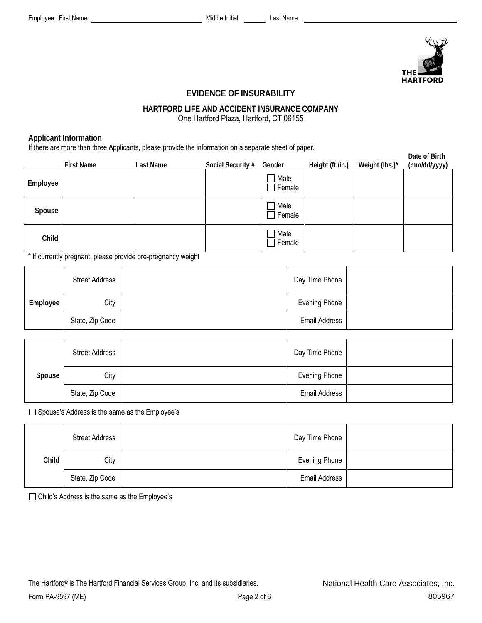

# **EVIDENCE OF INSURABILITY**

### **HARTFORD LIFE AND ACCIDENT INSURANCE COMPANY** One Hartford Plaza, Hartford, CT 06155

## **Applicant Information**

If there are more than three Applicants, please provide the information on a separate sheet of paper.

|          | . .<br><b>First Name</b> | $\cdot$ .<br>Last Name | Social Security # | .<br>Gender              | Height (ft./in.) | Weight (lbs.)* | Date of Birth<br>(mm/dd/yyyy) |
|----------|--------------------------|------------------------|-------------------|--------------------------|------------------|----------------|-------------------------------|
| Employee |                          |                        |                   | 7 Male<br>Female         |                  |                |                               |
| Spouse   |                          |                        |                   | Male<br>Female           |                  |                |                               |
| Child    |                          |                        |                   | Male<br>$\exists$ Female |                  |                |                               |

\* If currently pregnant, please provide pre-pregnancy weight

|          | <b>Street Address</b> | Day Time Phone       |  |
|----------|-----------------------|----------------------|--|
| Employee | City                  | <b>Evening Phone</b> |  |
|          | State, Zip Code       | <b>Email Address</b> |  |

|        | <b>Street Address</b> | Day Time Phone       |  |
|--------|-----------------------|----------------------|--|
| Spouse | City                  | Evening Phone        |  |
|        | State, Zip Code       | <b>Email Address</b> |  |

□ Spouse's Address is the same as the Employee's

|       | <b>Street Address</b> | Day Time Phone       |  |
|-------|-----------------------|----------------------|--|
| Child | City                  | <b>Evening Phone</b> |  |
|       | State, Zip Code       | <b>Email Address</b> |  |

□ Child's Address is the same as the Employee's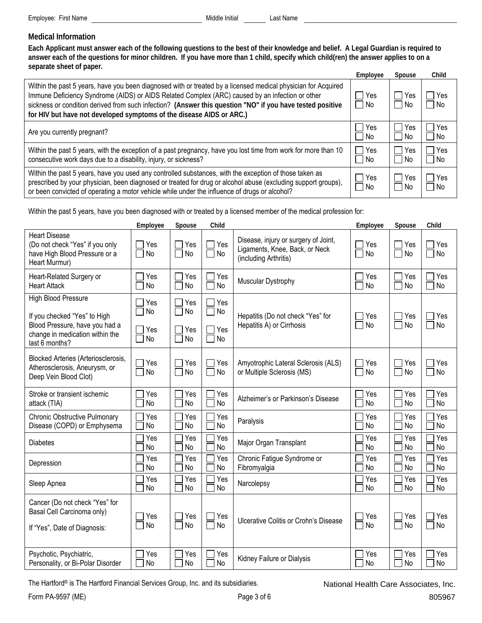# **Medical Information**

**Each Applicant must answer each of the following questions to the best of their knowledge and belief. A Legal Guardian is required to answer each of the questions for minor children. If you have more than 1 child, specify which child(ren) the answer applies to on a separate sheet of paper.**

|                                                                                                                                                                                                                                                                                                                                                                                                       | Employee    | Spouse             | Child       |
|-------------------------------------------------------------------------------------------------------------------------------------------------------------------------------------------------------------------------------------------------------------------------------------------------------------------------------------------------------------------------------------------------------|-------------|--------------------|-------------|
| Within the past 5 years, have you been diagnosed with or treated by a licensed medical physician for Acquired<br>Immune Deficiency Syndrome (AIDS) or AIDS Related Complex (ARC) caused by an infection or other<br>sickness or condition derived from such infection? (Answer this question "NO" if you have tested positive<br>for HIV but have not developed symptoms of the disease AIDS or ARC.) | Yes<br>l No | <b>Yes</b><br>l No | Yes<br>l No |
| Are you currently pregnant?                                                                                                                                                                                                                                                                                                                                                                           | Yes<br>l No | Yes<br>l No        | Yes<br>l No |
| Within the past 5 years, with the exception of a past pregnancy, have you lost time from work for more than 10<br>consecutive work days due to a disability, injury, or sickness?                                                                                                                                                                                                                     | Yes<br>∩ No | Yes<br>l No        | Yes<br>l No |
| Within the past 5 years, have you used any controlled substances, with the exception of those taken as<br>prescribed by your physician, been diagnosed or treated for drug or alcohol abuse (excluding support groups),<br>or been convicted of operating a motor vehicle while under the influence of drugs or alcohol?                                                                              | Yes<br>l No | $\Box$ Yes<br>  No | Yes<br>l No |

Within the past 5 years, have you been diagnosed with or treated by a licensed member of the medical profession for:

|                                                                                                                                            | Employee               | Spouse                 | Child                                                    |                                                                                                 | Employee                   | Spouse                          | Child            |
|--------------------------------------------------------------------------------------------------------------------------------------------|------------------------|------------------------|----------------------------------------------------------|-------------------------------------------------------------------------------------------------|----------------------------|---------------------------------|------------------|
| <b>Heart Disease</b><br>(Do not check "Yes" if you only<br>have High Blood Pressure or a<br>Heart Murmur)                                  | Yes<br>No              | Yes<br>No              | Yes<br>  No<br>$\overline{\phantom{a}}$                  | Disease, injury or surgery of Joint,<br>Ligaments, Knee, Back, or Neck<br>(including Arthritis) | Yes<br><b>No</b>           | $\mathbf{I}$<br>Yes<br>No<br>T. | Yes<br>No        |
| Heart-Related Surgery or<br><b>Heart Attack</b>                                                                                            | Yes<br><b>No</b>       | Yes<br>No              | Yes<br>No                                                | Muscular Dystrophy                                                                              | Yes<br>No<br>$\mathbf{L}$  | Yes<br>No<br>$\blacksquare$     | Yes<br>No        |
| High Blood Pressure<br>If you checked "Yes" to High<br>Blood Pressure, have you had a<br>change in medication within the<br>last 6 months? | Yes<br>No<br>Yes<br>No | Yes<br>No<br>Yes<br>No | Yes<br>No<br>$\mathbf{L}$<br>Yes<br>  No<br>$\mathbf{L}$ | Hepatitis (Do not check "Yes" for<br>Hepatitis A) or Cirrhosis                                  | Yes<br>$\Box$<br><b>No</b> | Yes<br>┑<br><b>No</b>           | Yes<br><b>No</b> |
| Blocked Arteries (Arteriosclerosis,<br>Atherosclerosis, Aneurysm, or<br>Deep Vein Blood Clot)                                              | Yes<br>No              | Yes<br><b>No</b>       | Yes<br>No                                                | Amyotrophic Lateral Sclerosis (ALS)<br>or Multiple Sclerosis (MS)                               | Yes<br>No<br>П             | Yes<br>No<br>$\blacksquare$     | Yes<br>No        |
| Stroke or transient ischemic<br>attack (TIA)                                                                                               | Yes<br>No              | Yes<br><b>No</b>       | Yes<br>No                                                | Alzheimer's or Parkinson's Disease                                                              | Yes<br><b>No</b>           | Yes<br><b>No</b>                | Yes<br><b>No</b> |
| <b>Chronic Obstructive Pulmonary</b><br>Disease (COPD) or Emphysema                                                                        | Yes<br>No              | Yes<br>No              | Yes<br><b>No</b>                                         | Paralysis                                                                                       | Yes<br><b>No</b>           | Yes<br><b>No</b>                | Yes<br><b>No</b> |
| <b>Diabetes</b>                                                                                                                            | Yes<br>No              | Yes<br>No              | Yes<br>No                                                | Major Organ Transplant                                                                          | Yes<br>No                  | Yes<br>No                       | Yes<br>No        |
| Depression                                                                                                                                 | Yes<br><b>No</b>       | Yes<br>No              | Yes<br>No                                                | Chronic Fatigue Syndrome or<br>Fibromyalgia                                                     | Yes<br>No                  | Yes<br>No                       | Yes<br><b>No</b> |
| Sleep Apnea                                                                                                                                | Yes<br><b>No</b>       | Yes<br>No              | Yes<br>No                                                | Narcolepsy                                                                                      | Yes<br>No                  | Yes<br>No                       | Yes<br>No        |
| Cancer (Do not check "Yes" for<br>Basal Cell Carcinoma only)<br>If "Yes", Date of Diagnosis:                                               | Yes<br>No              | Yes<br>No              | Yes<br>$\Box$ No                                         | Ulcerative Colitis or Crohn's Disease                                                           | Yes<br>$\Box$ No           | Yes<br>No<br>П                  | Yes<br>No        |
| Psychotic, Psychiatric,<br>Personality, or Bi-Polar Disorder                                                                               | Yes<br>No              | Yes<br>No              | Yes<br>No                                                | Kidney Failure or Dialysis                                                                      | Yes<br>No                  | Yes<br>No                       | Yes<br>No        |

The Hartford® is The Hartford Financial Services Group, Inc. and its subsidiaries.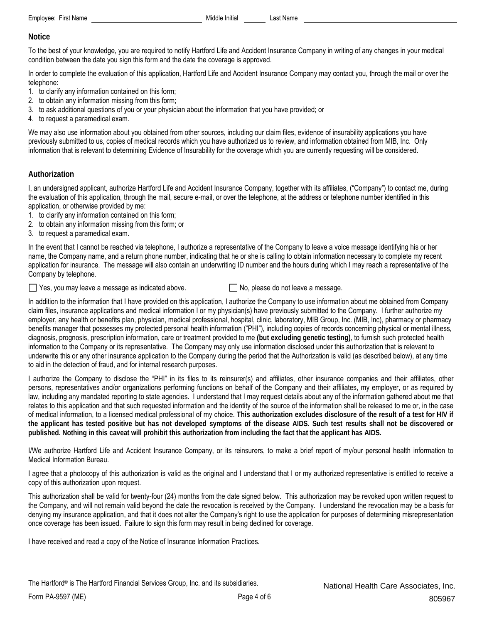### **Notice**

To the best of your knowledge, you are required to notify Hartford Life and Accident Insurance Company in writing of any changes in your medical condition between the date you sign this form and the date the coverage is approved.

In order to complete the evaluation of this application, Hartford Life and Accident Insurance Company may contact you, through the mail or over the telephone:

- 1. to clarify any information contained on this form;
- 2. to obtain any information missing from this form;
- 3. to ask additional questions of you or your physician about the information that you have provided; or
- 4. to request a paramedical exam.

We may also use information about you obtained from other sources, including our claim files, evidence of insurability applications you have previously submitted to us, copies of medical records which you have authorized us to review, and information obtained from MIB, Inc. Only information that is relevant to determining Evidence of Insurability for the coverage which you are currently requesting will be considered.

### **Authorization**

I, an undersigned applicant, authorize Hartford Life and Accident Insurance Company, together with its affiliates, ("Company") to contact me, during the evaluation of this application, through the mail, secure e-mail, or over the telephone, at the address or telephone number identified in this application, or otherwise provided by me:

- 1. to clarify any information contained on this form;
- 2. to obtain any information missing from this form; or
- 3. to request a paramedical exam.

In the event that I cannot be reached via telephone, I authorize a representative of the Company to leave a voice message identifying his or her name, the Company name, and a return phone number, indicating that he or she is calling to obtain information necessary to complete my recent application for insurance. The message will also contain an underwriting ID number and the hours during which I may reach a representative of the Company by telephone.

 $\Box$  Yes, you may leave a message as indicated above.  $\Box$  No, please do not leave a message.

In addition to the information that I have provided on this application, I authorize the Company to use information about me obtained from Company claim files, insurance applications and medical information I or my physician(s) have previously submitted to the Company. I further authorize my employer, any health or benefits plan, physician, medical professional, hospital, clinic, laboratory, MIB Group, Inc. (MIB, Inc), pharmacy or pharmacy benefits manager that possesses my protected personal health information ("PHI"), including copies of records concerning physical or mental illness, diagnosis, prognosis, prescription information, care or treatment provided to me **(but excluding genetic testing)**, to furnish such protected health information to the Company or its representative. The Company may only use information disclosed under this authorization that is relevant to underwrite this or any other insurance application to the Company during the period that the Authorization is valid (as described below), at any time to aid in the detection of fraud, and for internal research purposes.

I authorize the Company to disclose the "PHI" in its files to its reinsurer(s) and affiliates, other insurance companies and their affiliates, other persons, representatives and/or organizations performing functions on behalf of the Company and their affiliates, my employer, or as required by law, including any mandated reporting to state agencies. I understand that I may request details about any of the information gathered about me that relates to this application and that such requested information and the identity of the source of the information shall be released to me or, in the case of medical information, to a licensed medical professional of my choice. **This authorization excludes disclosure of the result of a test for HIV if the applicant has tested positive but has not developed symptoms of the disease AIDS. Such test results shall not be discovered or published. Nothing in this caveat will prohibit this authorization from including the fact that the applicant has AIDS.**

I/We authorize Hartford Life and Accident Insurance Company, or its reinsurers, to make a brief report of my/our personal health information to Medical Information Bureau.

I agree that a photocopy of this authorization is valid as the original and I understand that I or my authorized representative is entitled to receive a copy of this authorization upon request.

This authorization shall be valid for twenty-four (24) months from the date signed below. This authorization may be revoked upon written request to the Company, and will not remain valid beyond the date the revocation is received by the Company. I understand the revocation may be a basis for denying my insurance application, and that it does not alter the Company's right to use the application for purposes of determining misrepresentation once coverage has been issued. Failure to sign this form may result in being declined for coverage.

I have received and read a copy of the Notice of Insurance Information Practices.

The Hartford® is The Hartford Financial Services Group, Inc. and its subsidiaries.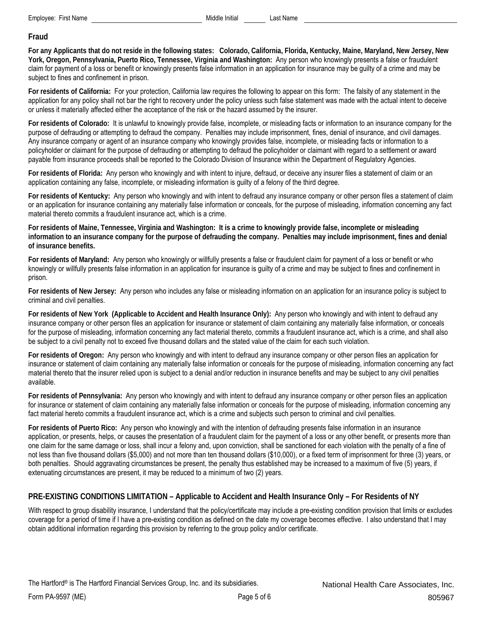#### **Fraud**

**For any Applicants that do not reside in the following states: Colorado, California, Florida, Kentucky, Maine, Maryland, New Jersey, New York, Oregon, Pennsylvania, Puerto Rico, Tennessee, Virginia and Washington:** Any person who knowingly presents a false or fraudulent claim for payment of a loss or benefit or knowingly presents false information in an application for insurance may be guilty of a crime and may be subject to fines and confinement in prison.

**For residents of California:** For your protection, California law requires the following to appear on this form: The falsity of any statement in the application for any policy shall not bar the right to recovery under the policy unless such false statement was made with the actual intent to deceive or unless it materially affected either the acceptance of the risk or the hazard assumed by the insurer.

**For residents of Colorado:** It is unlawful to knowingly provide false, incomplete, or misleading facts or information to an insurance company for the purpose of defrauding or attempting to defraud the company. Penalties may include imprisonment, fines, denial of insurance, and civil damages. Any insurance company or agent of an insurance company who knowingly provides false, incomplete, or misleading facts or information to a policyholder or claimant for the purpose of defrauding or attempting to defraud the policyholder or claimant with regard to a settlement or award payable from insurance proceeds shall be reported to the Colorado Division of Insurance within the Department of Regulatory Agencies.

**For residents of Florida:** Any person who knowingly and with intent to injure, defraud, or deceive any insurer files a statement of claim or an application containing any false, incomplete, or misleading information is guilty of a felony of the third degree.

**For residents of Kentucky:** Any person who knowingly and with intent to defraud any insurance company or other person files a statement of claim or an application for insurance containing any materially false information or conceals, for the purpose of misleading, information concerning any fact material thereto commits a fraudulent insurance act, which is a crime.

**For residents of Maine, Tennessee, Virginia and Washington: It is a crime to knowingly provide false, incomplete or misleading information to an insurance company for the purpose of defrauding the company. Penalties may include imprisonment, fines and denial of insurance benefits.** 

**For residents of Maryland:** Any person who knowingly or willfully presents a false or fraudulent claim for payment of a loss or benefit or who knowingly or willfully presents false information in an application for insurance is guilty of a crime and may be subject to fines and confinement in prison.

**For residents of New Jersey:** Any person who includes any false or misleading information on an application for an insurance policy is subject to criminal and civil penalties.

**For residents of New York (Applicable to Accident and Health Insurance Only):** Any person who knowingly and with intent to defraud any insurance company or other person files an application for insurance or statement of claim containing any materially false information, or conceals for the purpose of misleading, information concerning any fact material thereto, commits a fraudulent insurance act, which is a crime, and shall also be subject to a civil penalty not to exceed five thousand dollars and the stated value of the claim for each such violation.

**For residents of Oregon:** Any person who knowingly and with intent to defraud any insurance company or other person files an application for insurance or statement of claim containing any materially false information or conceals for the purpose of misleading, information concerning any fact material thereto that the insurer relied upon is subject to a denial and/or reduction in insurance benefits and may be subject to any civil penalties available.

**For residents of Pennsylvania:** Any person who knowingly and with intent to defraud any insurance company or other person files an application for insurance or statement of claim containing any materially false information or conceals for the purpose of misleading, information concerning any fact material hereto commits a fraudulent insurance act, which is a crime and subjects such person to criminal and civil penalties.

**For residents of Puerto Rico:** Any person who knowingly and with the intention of defrauding presents false information in an insurance application, or presents, helps, or causes the presentation of a fraudulent claim for the payment of a loss or any other benefit, or presents more than one claim for the same damage or loss, shall incur a felony and, upon conviction, shall be sanctioned for each violation with the penalty of a fine of not less than five thousand dollars (\$5,000) and not more than ten thousand dollars (\$10,000), or a fixed term of imprisonment for three (3) years, or both penalties. Should aggravating circumstances be present, the penalty thus established may be increased to a maximum of five (5) years, if extenuating circumstances are present, it may be reduced to a minimum of two (2) years.

### **PRE-EXISTING CONDITIONS LIMITATION – Applicable to Accident and Health Insurance Only – For Residents of NY**

With respect to group disability insurance, I understand that the policy/certificate may include a pre-existing condition provision that limits or excludes coverage for a period of time if I have a pre-existing condition as defined on the date my coverage becomes effective. I also understand that I may obtain additional information regarding this provision by referring to the group policy and/or certificate.